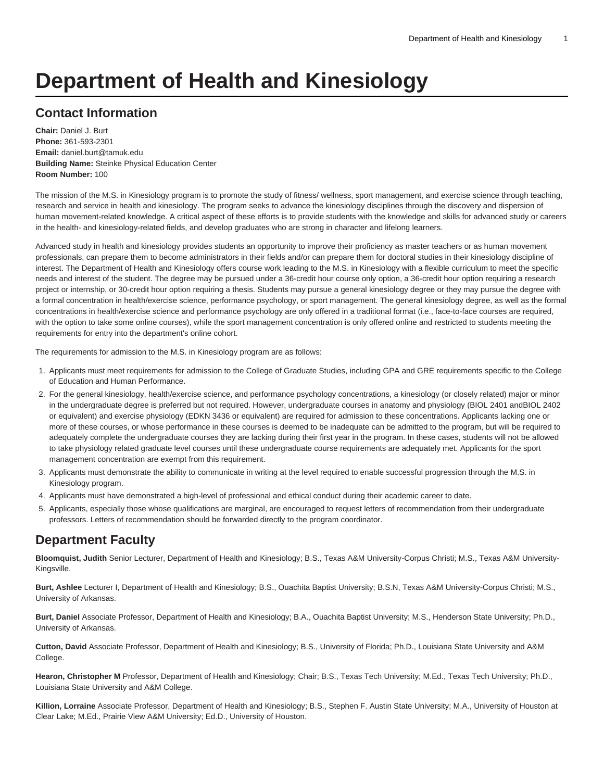# **Department of Health and Kinesiology**

# **Contact Information**

**Chair:** Daniel J. Burt **Phone:** 361-593-2301 **Email:** [daniel.burt@tamuk.edu](mailto:daniel.burt@tamuk.edu) **Building Name:** Steinke Physical Education Center **Room Number:** 100

The mission of the M.S. in Kinesiology program is to promote the study of fitness/ wellness, sport management, and exercise science through teaching, research and service in health and kinesiology. The program seeks to advance the kinesiology disciplines through the discovery and dispersion of human movement-related knowledge. A critical aspect of these efforts is to provide students with the knowledge and skills for advanced study or careers in the health- and kinesiology-related fields, and develop graduates who are strong in character and lifelong learners.

Advanced study in health and kinesiology provides students an opportunity to improve their proficiency as master teachers or as human movement professionals, can prepare them to become administrators in their fields and/or can prepare them for doctoral studies in their kinesiology discipline of interest. The Department of Health and Kinesiology offers course work leading to the M.S. in Kinesiology with a flexible curriculum to meet the specific needs and interest of the student. The degree may be pursued under a 36-credit hour course only option, a 36-credit hour option requiring a research project or internship, or 30-credit hour option requiring a thesis. Students may pursue a general kinesiology degree or they may pursue the degree with a formal concentration in health/exercise science, performance psychology, or sport management. The general kinesiology degree, as well as the formal concentrations in health/exercise science and performance psychology are only offered in a traditional format (i.e., face-to-face courses are required, with the option to take some online courses), while the sport management concentration is only offered online and restricted to students meeting the requirements for entry into the department's online cohort.

The requirements for admission to the M.S. in Kinesiology program are as follows:

- 1. Applicants must meet requirements for admission to the College of Graduate Studies, including GPA and GRE requirements specific to the College of Education and Human Performance.
- 2. For the general kinesiology, health/exercise science, and performance psychology concentrations, a kinesiology (or closely related) major or minor in the undergraduate degree is preferred but not required. However, undergraduate courses in anatomy and physiology (BIOL 2401 andBIOL 2402 or equivalent) and exercise physiology (EDKN 3436 or equivalent) are required for admission to these concentrations. Applicants lacking one or more of these courses, or whose performance in these courses is deemed to be inadequate can be admitted to the program, but will be required to adequately complete the undergraduate courses they are lacking during their first year in the program. In these cases, students will not be allowed to take physiology related graduate level courses until these undergraduate course requirements are adequately met. Applicants for the sport management concentration are exempt from this requirement.
- 3. Applicants must demonstrate the ability to communicate in writing at the level required to enable successful progression through the M.S. in Kinesiology program.
- 4. Applicants must have demonstrated a high-level of professional and ethical conduct during their academic career to date.
- 5. Applicants, especially those whose qualifications are marginal, are encouraged to request letters of recommendation from their undergraduate professors. Letters of recommendation should be forwarded directly to the program coordinator.

# **Department Faculty**

**Bloomquist, Judith** Senior Lecturer, Department of Health and Kinesiology; B.S., Texas A&M University-Corpus Christi; M.S., Texas A&M University-Kingsville.

**Burt, Ashlee** Lecturer I, Department of Health and Kinesiology; B.S., Ouachita Baptist University; B.S.N, Texas A&M University-Corpus Christi; M.S., University of Arkansas.

**Burt, Daniel** Associate Professor, Department of Health and Kinesiology; B.A., Ouachita Baptist University; M.S., Henderson State University; Ph.D., University of Arkansas.

**Cutton, David** Associate Professor, Department of Health and Kinesiology; B.S., University of Florida; Ph.D., Louisiana State University and A&M College.

**Hearon, Christopher M** Professor, Department of Health and Kinesiology; Chair; B.S., Texas Tech University; M.Ed., Texas Tech University; Ph.D., Louisiana State University and A&M College.

**Killion, Lorraine** Associate Professor, Department of Health and Kinesiology; B.S., Stephen F. Austin State University; M.A., University of Houston at Clear Lake; M.Ed., Prairie View A&M University; Ed.D., University of Houston.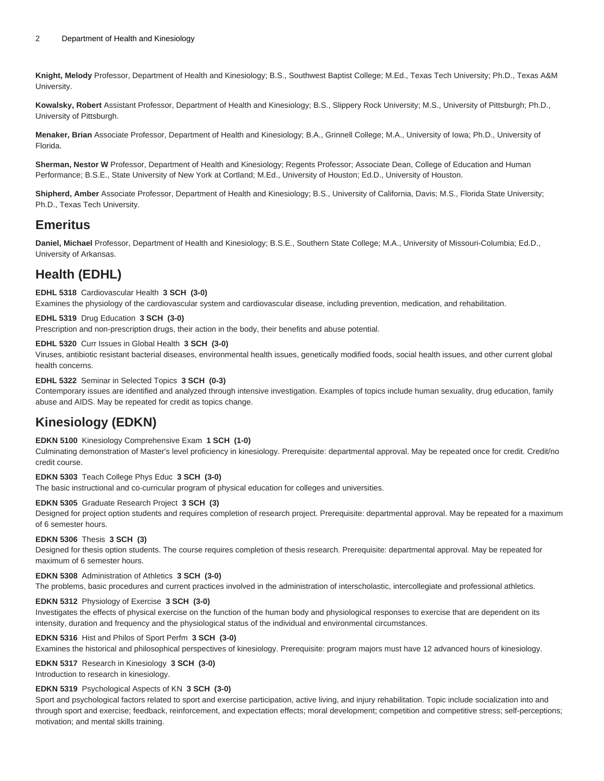**Knight, Melody** Professor, Department of Health and Kinesiology; B.S., Southwest Baptist College; M.Ed., Texas Tech University; Ph.D., Texas A&M University.

**Kowalsky, Robert** Assistant Professor, Department of Health and Kinesiology; B.S., Slippery Rock University; M.S., University of Pittsburgh; Ph.D., University of Pittsburgh.

**Menaker, Brian** Associate Professor, Department of Health and Kinesiology; B.A., Grinnell College; M.A., University of Iowa; Ph.D., University of Florida.

**Sherman, Nestor W** Professor, Department of Health and Kinesiology; Regents Professor; Associate Dean, College of Education and Human Performance; B.S.E., State University of New York at Cortland; M.Ed., University of Houston; Ed.D., University of Houston.

**Shipherd, Amber** Associate Professor, Department of Health and Kinesiology; B.S., University of California, Davis; M.S., Florida State University; Ph.D., Texas Tech University.

# **Emeritus**

**Daniel, Michael** Professor, Department of Health and Kinesiology; B.S.E., Southern State College; M.A., University of Missouri-Columbia; Ed.D., University of Arkansas.

# **Health (EDHL)**

## **EDHL 5318** Cardiovascular Health **3 SCH (3-0)**

Examines the physiology of the cardiovascular system and cardiovascular disease, including prevention, medication, and rehabilitation.

### **EDHL 5319** Drug Education **3 SCH (3-0)**

Prescription and non-prescription drugs, their action in the body, their benefits and abuse potential.

### **EDHL 5320** Curr Issues in Global Health **3 SCH (3-0)**

Viruses, antibiotic resistant bacterial diseases, environmental health issues, genetically modified foods, social health issues, and other current global health concerns.

### **EDHL 5322** Seminar in Selected Topics **3 SCH (0-3)**

Contemporary issues are identified and analyzed through intensive investigation. Examples of topics include human sexuality, drug education, family abuse and AIDS. May be repeated for credit as topics change.

# **Kinesiology (EDKN)**

#### **EDKN 5100** Kinesiology Comprehensive Exam **1 SCH (1-0)**

Culminating demonstration of Master's level proficiency in kinesiology. Prerequisite: departmental approval. May be repeated once for credit. Credit/no credit course.

#### **EDKN 5303** Teach College Phys Educ **3 SCH (3-0)**

The basic instructional and co-curricular program of physical education for colleges and universities.

## **EDKN 5305** Graduate Research Project **3 SCH (3)**

Designed for project option students and requires completion of research project. Prerequisite: departmental approval. May be repeated for a maximum of 6 semester hours.

#### **EDKN 5306** Thesis **3 SCH (3)**

Designed for thesis option students. The course requires completion of thesis research. Prerequisite: departmental approval. May be repeated for maximum of 6 semester hours.

### **EDKN 5308** Administration of Athletics **3 SCH (3-0)**

The problems, basic procedures and current practices involved in the administration of interscholastic, intercollegiate and professional athletics.

#### **EDKN 5312** Physiology of Exercise **3 SCH (3-0)**

Investigates the effects of physical exercise on the function of the human body and physiological responses to exercise that are dependent on its intensity, duration and frequency and the physiological status of the individual and environmental circumstances.

#### **EDKN 5316** Hist and Philos of Sport Perfm **3 SCH (3-0)**

Examines the historical and philosophical perspectives of kinesiology. Prerequisite: program majors must have 12 advanced hours of kinesiology.

# **EDKN 5317** Research in Kinesiology **3 SCH (3-0)**

Introduction to research in kinesiology.

#### **EDKN 5319** Psychological Aspects of KN **3 SCH (3-0)**

Sport and psychological factors related to sport and exercise participation, active living, and injury rehabilitation. Topic include socialization into and through sport and exercise; feedback, reinforcement, and expectation effects; moral development; competition and competitive stress; self-perceptions; motivation; and mental skills training.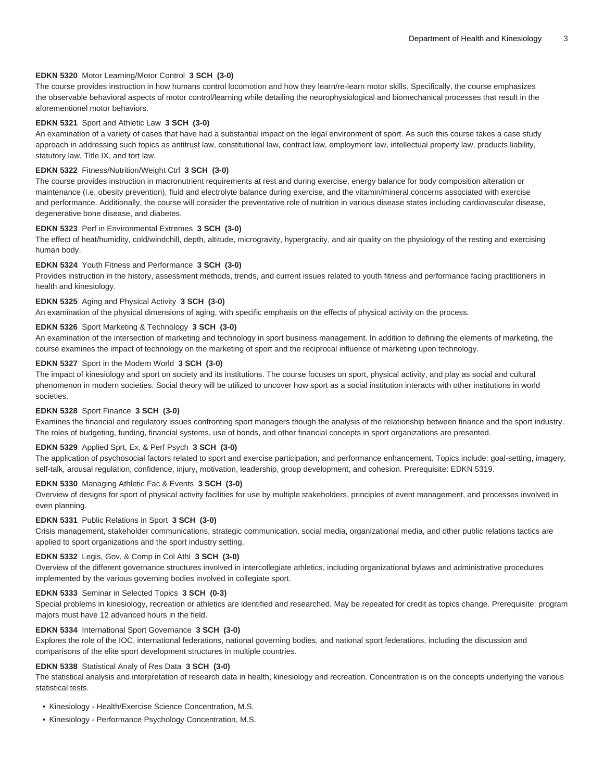#### **EDKN 5320** Motor Learning/Motor Control **3 SCH (3-0)**

The course provides instruction in how humans control locomotion and how they learn/re-learn motor skills. Specifically, the course emphasizes the observable behavioral aspects of motor control/learning while detailing the neurophysiological and biomechanical processes that result in the aforementionel motor behaviors.

#### **EDKN 5321** Sport and Athletic Law **3 SCH (3-0)**

An examination of a variety of cases that have had a substantial impact on the legal environment of sport. As such this course takes a case study approach in addressing such topics as antitrust law, constitutional law, contract law, employment law, intellectual property law, products liability, statutory law, Title IX, and tort law.

#### **EDKN 5322** Fitness/Nutrition/Weight Ctrl **3 SCH (3-0)**

The course provides instruction in macronutrient requirements at rest and during exercise, energy balance for body composition alteration or maintenance (i.e. obesity prevention), fluid and electrolyte balance during exercise, and the vitamin/mineral concerns associated with exercise and performance. Additionally, the course will consider the preventative role of nutrition in various disease states including cardiovascular disease, degenerative bone disease, and diabetes.

#### **EDKN 5323** Perf in Environmental Extremes **3 SCH (3-0)**

The effect of heat/humidity, cold/windchill, depth, altitude, microgravity, hypergracity, and air quality on the physiology of the resting and exercising human body.

#### **EDKN 5324** Youth Fitness and Performance **3 SCH (3-0)**

Provides instruction in the history, assessment methods, trends, and current issues related to youth fitness and performance facing practitioners in health and kinesiology.

#### **EDKN 5325** Aging and Physical Activity **3 SCH (3-0)**

An examination of the physical dimensions of aging, with specific emphasis on the effects of physical activity on the process.

#### **EDKN 5326** Sport Marketing & Technology **3 SCH (3-0)**

An examination of the intersection of marketing and technology in sport business management. In addition to defining the elements of marketing, the course examines the impact of technology on the marketing of sport and the reciprocal influence of marketing upon technology.

#### **EDKN 5327** Sport in the Modern World **3 SCH (3-0)**

The impact of kinesiology and sport on society and its institutions. The course focuses on sport, physical activity, and play as social and cultural phenomenon in modern societies. Social theory will be utilized to uncover how sport as a social institution interacts with other institutions in world societies.

#### **EDKN 5328** Sport Finance **3 SCH (3-0)**

Examines the financial and regulatory issues confronting sport managers though the analysis of the relationship between finance and the sport industry. The roles of budgeting, funding, financial systems, use of bonds, and other financial concepts in sport organizations are presented.

#### **EDKN 5329** Applied Sprt, Ex, & Perf Psych **3 SCH (3-0)**

The application of psychosocial factors related to sport and exercise participation, and performance enhancement. Topics include: goal-setting, imagery, self-talk, arousal regulation, confidence, injury, motivation, leadership, group development, and cohesion. Prerequisite: EDKN 5319.

#### **EDKN 5330** Managing Athletic Fac & Events **3 SCH (3-0)**

Overview of designs for sport of physical activity facilities for use by multiple stakeholders, principles of event management, and processes involved in even planning.

#### **EDKN 5331** Public Relations in Sport **3 SCH (3-0)**

Crisis management, stakeholder communications, strategic communication, social media, organizational media, and other public relations tactics are applied to sport organizations and the sport industry setting.

#### **EDKN 5332** Legis, Gov, & Comp in Col Athl **3 SCH (3-0)**

Overview of the different governance structures involved in intercollegiate athletics, including organizational bylaws and administrative procedures implemented by the various governing bodies involved in collegiate sport.

#### **EDKN 5333** Seminar in Selected Topics **3 SCH (0-3)**

Special problems in kinesiology, recreation or athletics are identified and researched. May be repeated for credit as topics change. Prerequisite: program majors must have 12 advanced hours in the field.

#### **EDKN 5334** International Sport Governance **3 SCH (3-0)**

Explores the role of the IOC, international federations, national governing bodies, and national sport federations, including the discussion and comparisons of the elite sport development structures in multiple countries.

#### **EDKN 5338** Statistical Analy of Res Data **3 SCH (3-0)**

The statistical analysis and interpretation of research data in health, kinesiology and recreation. Concentration is on the concepts underlying the various statistical tests.

- [Kinesiology Health/Exercise Science Concentration, M.S.](https://catalog.tamuk.edu/graduate/graduate-studies/masters-education-human-performance/health-kinesiology/kinesiology-health-exercise-science-ms/)
- [Kinesiology Performance Psychology Concentration, M.S.](https://catalog.tamuk.edu/graduate/graduate-studies/masters-education-human-performance/health-kinesiology/kinesiology-performance-psychology-ms/)